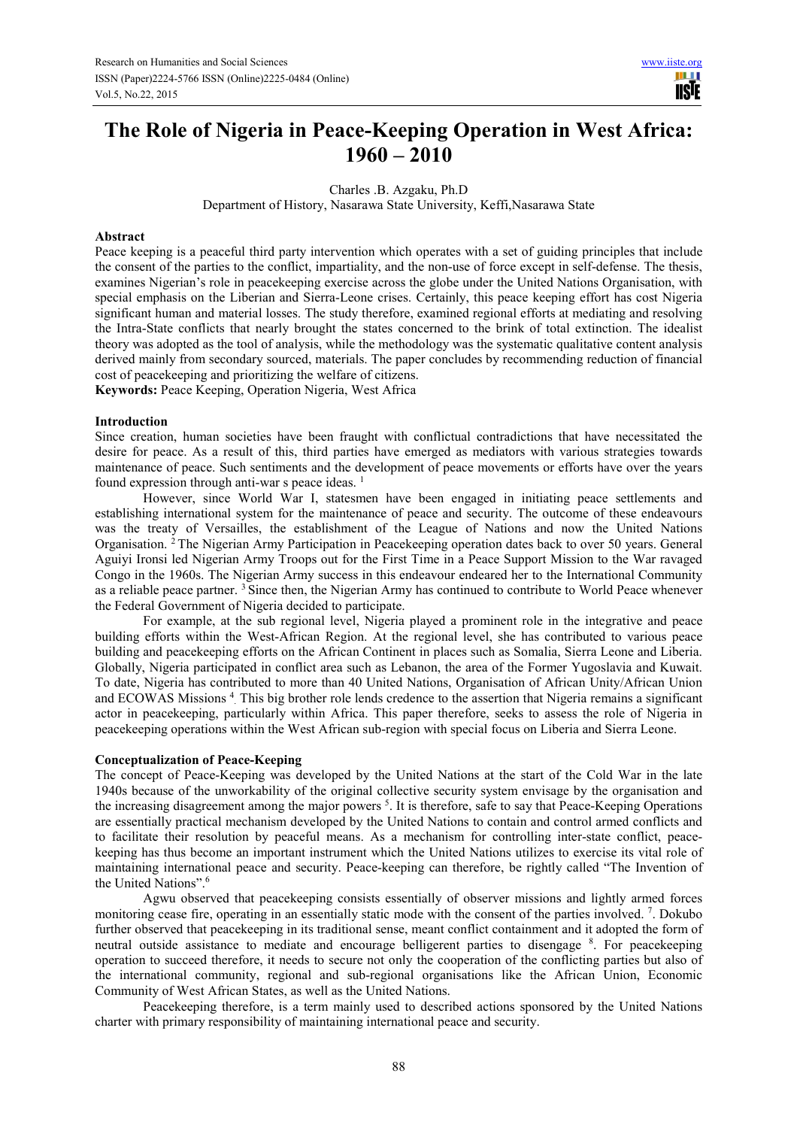# **The Role of Nigeria in Peace-Keeping Operation in West Africa: 1960 – 2010**

Charles .B. Azgaku, Ph.D

Department of History, Nasarawa State University, Keffi,Nasarawa State

#### **Abstract**

Peace keeping is a peaceful third party intervention which operates with a set of guiding principles that include the consent of the parties to the conflict, impartiality, and the non-use of force except in self-defense. The thesis, examines Nigerian's role in peacekeeping exercise across the globe under the United Nations Organisation, with special emphasis on the Liberian and Sierra-Leone crises. Certainly, this peace keeping effort has cost Nigeria significant human and material losses. The study therefore, examined regional efforts at mediating and resolving the Intra-State conflicts that nearly brought the states concerned to the brink of total extinction. The idealist theory was adopted as the tool of analysis, while the methodology was the systematic qualitative content analysis derived mainly from secondary sourced, materials. The paper concludes by recommending reduction of financial cost of peacekeeping and prioritizing the welfare of citizens.

**Keywords:** Peace Keeping, Operation Nigeria, West Africa

#### **Introduction**

Since creation, human societies have been fraught with conflictual contradictions that have necessitated the desire for peace. As a result of this, third parties have emerged as mediators with various strategies towards maintenance of peace. Such sentiments and the development of peace movements or efforts have over the years found expression through anti-war s peace ideas.<sup>1</sup>

However, since World War I, statesmen have been engaged in initiating peace settlements and establishing international system for the maintenance of peace and security. The outcome of these endeavours was the treaty of Versailles, the establishment of the League of Nations and now the United Nations Organisation. <sup>2</sup>The Nigerian Army Participation in Peacekeeping operation dates back to over 50 years. General Aguiyi Ironsi led Nigerian Army Troops out for the First Time in a Peace Support Mission to the War ravaged Congo in the 1960s. The Nigerian Army success in this endeavour endeared her to the International Community as a reliable peace partner. <sup>3</sup>Since then, the Nigerian Army has continued to contribute to World Peace whenever the Federal Government of Nigeria decided to participate.

For example, at the sub regional level, Nigeria played a prominent role in the integrative and peace building efforts within the West-African Region. At the regional level, she has contributed to various peace building and peacekeeping efforts on the African Continent in places such as Somalia, Sierra Leone and Liberia. Globally, Nigeria participated in conflict area such as Lebanon, the area of the Former Yugoslavia and Kuwait. To date, Nigeria has contributed to more than 40 United Nations, Organisation of African Unity/African Union and ECOWAS Missions<sup>4</sup> This big brother role lends credence to the assertion that Nigeria remains a significant actor in peacekeeping, particularly within Africa. This paper therefore, seeks to assess the role of Nigeria in peacekeeping operations within the West African sub-region with special focus on Liberia and Sierra Leone.

#### **Conceptualization of Peace-Keeping**

The concept of Peace-Keeping was developed by the United Nations at the start of the Cold War in the late 1940s because of the unworkability of the original collective security system envisage by the organisation and the increasing disagreement among the major powers  $<sup>5</sup>$ . It is therefore, safe to say that Peace-Keeping Operations</sup> are essentially practical mechanism developed by the United Nations to contain and control armed conflicts and to facilitate their resolution by peaceful means. As a mechanism for controlling inter-state conflict, peacekeeping has thus become an important instrument which the United Nations utilizes to exercise its vital role of maintaining international peace and security. Peace-keeping can therefore, be rightly called "The Invention of the United Nations".<sup>6</sup>

Agwu observed that peacekeeping consists essentially of observer missions and lightly armed forces monitoring cease fire, operating in an essentially static mode with the consent of the parties involved.<sup>7</sup>. Dokubo further observed that peacekeeping in its traditional sense, meant conflict containment and it adopted the form of neutral outside assistance to mediate and encourage belligerent parties to disengage <sup>8</sup> . For peacekeeping operation to succeed therefore, it needs to secure not only the cooperation of the conflicting parties but also of the international community, regional and sub-regional organisations like the African Union, Economic Community of West African States, as well as the United Nations.

Peacekeeping therefore, is a term mainly used to described actions sponsored by the United Nations charter with primary responsibility of maintaining international peace and security.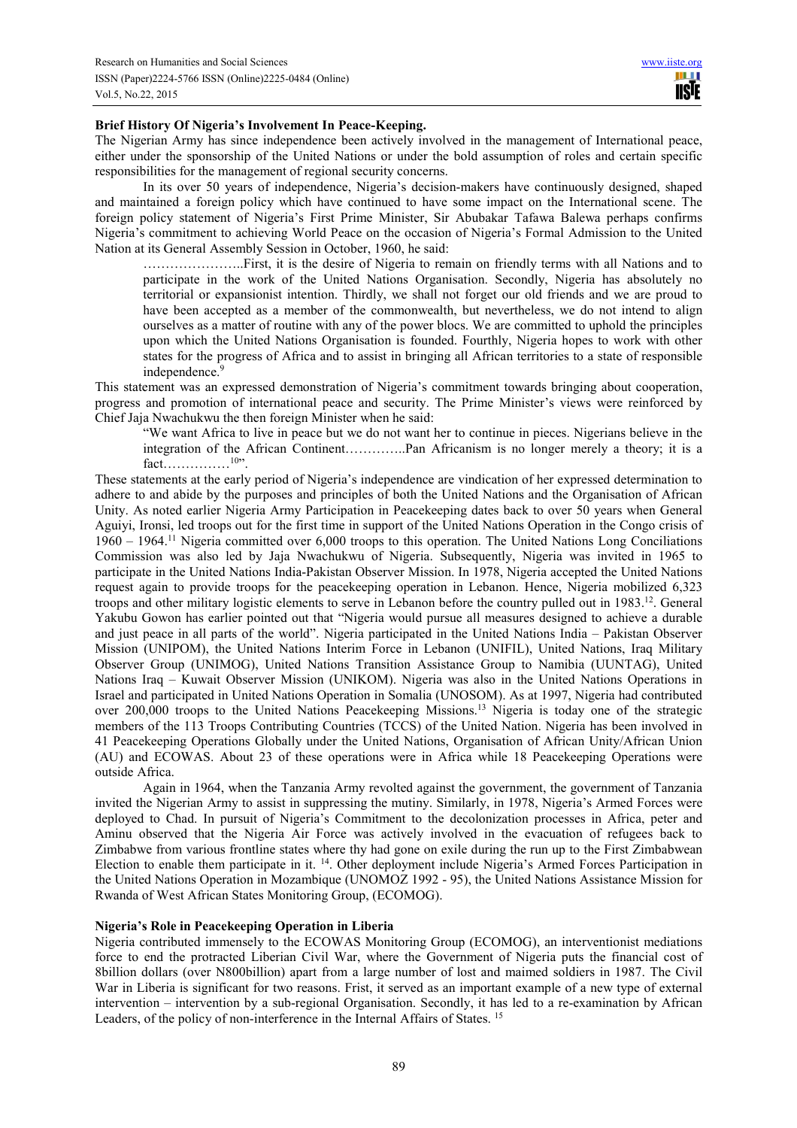HH H **TISIE** 

#### **Brief History Of Nigeria's Involvement In Peace-Keeping.**

The Nigerian Army has since independence been actively involved in the management of International peace, either under the sponsorship of the United Nations or under the bold assumption of roles and certain specific responsibilities for the management of regional security concerns.

In its over 50 years of independence, Nigeria's decision-makers have continuously designed, shaped and maintained a foreign policy which have continued to have some impact on the International scene. The foreign policy statement of Nigeria's First Prime Minister, Sir Abubakar Tafawa Balewa perhaps confirms Nigeria's commitment to achieving World Peace on the occasion of Nigeria's Formal Admission to the United Nation at its General Assembly Session in October, 1960, he said:

…………………..First, it is the desire of Nigeria to remain on friendly terms with all Nations and to participate in the work of the United Nations Organisation. Secondly, Nigeria has absolutely no territorial or expansionist intention. Thirdly, we shall not forget our old friends and we are proud to have been accepted as a member of the commonwealth, but nevertheless, we do not intend to align ourselves as a matter of routine with any of the power blocs. We are committed to uphold the principles upon which the United Nations Organisation is founded. Fourthly, Nigeria hopes to work with other states for the progress of Africa and to assist in bringing all African territories to a state of responsible independence.<sup>9</sup>

This statement was an expressed demonstration of Nigeria's commitment towards bringing about cooperation, progress and promotion of international peace and security. The Prime Minister's views were reinforced by Chief Jaja Nwachukwu the then foreign Minister when he said:

"We want Africa to live in peace but we do not want her to continue in pieces. Nigerians believe in the integration of the African Continent…………..Pan Africanism is no longer merely a theory; it is a  $fact...$   $^{10\prime}$ .

These statements at the early period of Nigeria's independence are vindication of her expressed determination to adhere to and abide by the purposes and principles of both the United Nations and the Organisation of African Unity. As noted earlier Nigeria Army Participation in Peacekeeping dates back to over 50 years when General Aguiyi, Ironsi, led troops out for the first time in support of the United Nations Operation in the Congo crisis of 1960 – 1964.<sup>11</sup> Nigeria committed over 6,000 troops to this operation. The United Nations Long Conciliations Commission was also led by Jaja Nwachukwu of Nigeria. Subsequently, Nigeria was invited in 1965 to participate in the United Nations India-Pakistan Observer Mission. In 1978, Nigeria accepted the United Nations request again to provide troops for the peacekeeping operation in Lebanon. Hence, Nigeria mobilized 6,323 troops and other military logistic elements to serve in Lebanon before the country pulled out in 1983.<sup>12</sup>. General Yakubu Gowon has earlier pointed out that "Nigeria would pursue all measures designed to achieve a durable and just peace in all parts of the world". Nigeria participated in the United Nations India – Pakistan Observer Mission (UNIPOM), the United Nations Interim Force in Lebanon (UNIFIL), United Nations, Iraq Military Observer Group (UNIMOG), United Nations Transition Assistance Group to Namibia (UUNTAG), United Nations Iraq – Kuwait Observer Mission (UNIKOM). Nigeria was also in the United Nations Operations in Israel and participated in United Nations Operation in Somalia (UNOSOM). As at 1997, Nigeria had contributed over 200,000 troops to the United Nations Peacekeeping Missions.<sup>13</sup> Nigeria is today one of the strategic members of the 113 Troops Contributing Countries (TCCS) of the United Nation. Nigeria has been involved in 41 Peacekeeping Operations Globally under the United Nations, Organisation of African Unity/African Union (AU) and ECOWAS. About 23 of these operations were in Africa while 18 Peacekeeping Operations were outside Africa.

Again in 1964, when the Tanzania Army revolted against the government, the government of Tanzania invited the Nigerian Army to assist in suppressing the mutiny. Similarly, in 1978, Nigeria's Armed Forces were deployed to Chad. In pursuit of Nigeria's Commitment to the decolonization processes in Africa, peter and Aminu observed that the Nigeria Air Force was actively involved in the evacuation of refugees back to Zimbabwe from various frontline states where thy had gone on exile during the run up to the First Zimbabwean Election to enable them participate in it. <sup>14</sup>. Other deployment include Nigeria's Armed Forces Participation in the United Nations Operation in Mozambique (UNOMOZ 1992 - 95), the United Nations Assistance Mission for Rwanda of West African States Monitoring Group, (ECOMOG).

## **Nigeria's Role in Peacekeeping Operation in Liberia**

Nigeria contributed immensely to the ECOWAS Monitoring Group (ECOMOG), an interventionist mediations force to end the protracted Liberian Civil War, where the Government of Nigeria puts the financial cost of 8billion dollars (over N800billion) apart from a large number of lost and maimed soldiers in 1987. The Civil War in Liberia is significant for two reasons. Frist, it served as an important example of a new type of external intervention – intervention by a sub-regional Organisation. Secondly, it has led to a re-examination by African Leaders, of the policy of non-interference in the Internal Affairs of States. 15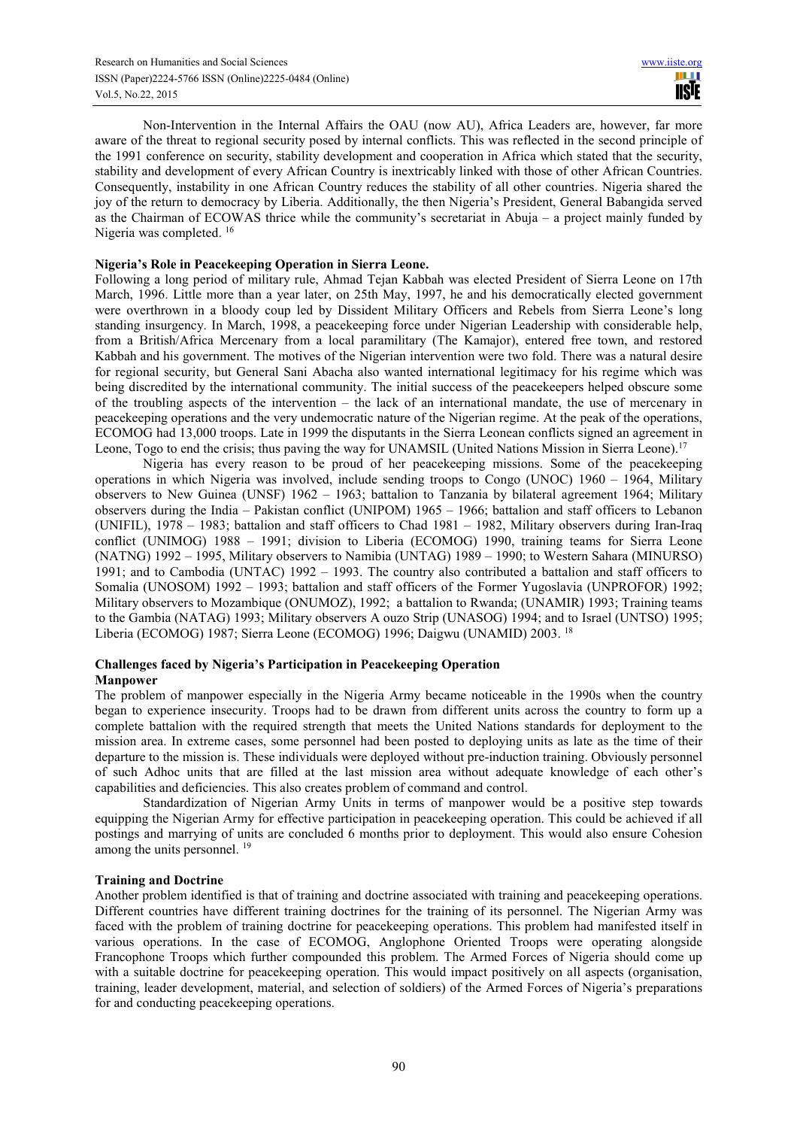Non-Intervention in the Internal Affairs the OAU (now AU), Africa Leaders are, however, far more aware of the threat to regional security posed by internal conflicts. This was reflected in the second principle of the 1991 conference on security, stability development and cooperation in Africa which stated that the security, stability and development of every African Country is inextricably linked with those of other African Countries. Consequently, instability in one African Country reduces the stability of all other countries. Nigeria shared the joy of the return to democracy by Liberia. Additionally, the then Nigeria's President, General Babangida served as the Chairman of ECOWAS thrice while the community's secretariat in Abuja – a project mainly funded by Nigeria was completed. <sup>16</sup>

#### **Nigeria's Role in Peacekeeping Operation in Sierra Leone.**

Following a long period of military rule, Ahmad Tejan Kabbah was elected President of Sierra Leone on 17th March, 1996. Little more than a year later, on 25th May, 1997, he and his democratically elected government were overthrown in a bloody coup led by Dissident Military Officers and Rebels from Sierra Leone's long standing insurgency. In March, 1998, a peacekeeping force under Nigerian Leadership with considerable help, from a British/Africa Mercenary from a local paramilitary (The Kamajor), entered free town, and restored Kabbah and his government. The motives of the Nigerian intervention were two fold. There was a natural desire for regional security, but General Sani Abacha also wanted international legitimacy for his regime which was being discredited by the international community. The initial success of the peacekeepers helped obscure some of the troubling aspects of the intervention – the lack of an international mandate, the use of mercenary in peacekeeping operations and the very undemocratic nature of the Nigerian regime. At the peak of the operations, ECOMOG had 13,000 troops. Late in 1999 the disputants in the Sierra Leonean conflicts signed an agreement in Leone, Togo to end the crisis; thus paving the way for UNAMSIL (United Nations Mission in Sierra Leone).<sup>17</sup>

Nigeria has every reason to be proud of her peacekeeping missions. Some of the peacekeeping operations in which Nigeria was involved, include sending troops to Congo (UNOC) 1960 – 1964, Military observers to New Guinea (UNSF) 1962 – 1963; battalion to Tanzania by bilateral agreement 1964; Military observers during the India – Pakistan conflict (UNIPOM) 1965 – 1966; battalion and staff officers to Lebanon (UNIFIL),  $1978 - 1983$ ; battalion and staff officers to Chad  $1981 - 1982$ , Military observers during Iran-Iraq conflict (UNIMOG) 1988 – 1991; division to Liberia (ECOMOG) 1990, training teams for Sierra Leone (NATNG) 1992 – 1995, Military observers to Namibia (UNTAG) 1989 – 1990; to Western Sahara (MINURSO) 1991; and to Cambodia (UNTAC) 1992 – 1993. The country also contributed a battalion and staff officers to Somalia (UNOSOM) 1992 – 1993; battalion and staff officers of the Former Yugoslavia (UNPROFOR) 1992; Military observers to Mozambique (ONUMOZ), 1992; a battalion to Rwanda; (UNAMIR) 1993; Training teams to the Gambia (NATAG) 1993; Military observers A ouzo Strip (UNASOG) 1994; and to Israel (UNTSO) 1995; Liberia (ECOMOG) 1987; Sierra Leone (ECOMOG) 1996; Daigwu (UNAMID) 2003. <sup>18</sup>

## **Challenges faced by Nigeria's Participation in Peacekeeping Operation Manpower**

The problem of manpower especially in the Nigeria Army became noticeable in the 1990s when the country began to experience insecurity. Troops had to be drawn from different units across the country to form up a complete battalion with the required strength that meets the United Nations standards for deployment to the mission area. In extreme cases, some personnel had been posted to deploying units as late as the time of their departure to the mission is. These individuals were deployed without pre-induction training. Obviously personnel of such Adhoc units that are filled at the last mission area without adequate knowledge of each other's capabilities and deficiencies. This also creates problem of command and control.

Standardization of Nigerian Army Units in terms of manpower would be a positive step towards equipping the Nigerian Army for effective participation in peacekeeping operation. This could be achieved if all postings and marrying of units are concluded 6 months prior to deployment. This would also ensure Cohesion among the units personnel.<sup>19</sup>

## **Training and Doctrine**

Another problem identified is that of training and doctrine associated with training and peacekeeping operations. Different countries have different training doctrines for the training of its personnel. The Nigerian Army was faced with the problem of training doctrine for peacekeeping operations. This problem had manifested itself in various operations. In the case of ECOMOG, Anglophone Oriented Troops were operating alongside Francophone Troops which further compounded this problem. The Armed Forces of Nigeria should come up with a suitable doctrine for peacekeeping operation. This would impact positively on all aspects (organisation, training, leader development, material, and selection of soldiers) of the Armed Forces of Nigeria's preparations for and conducting peacekeeping operations.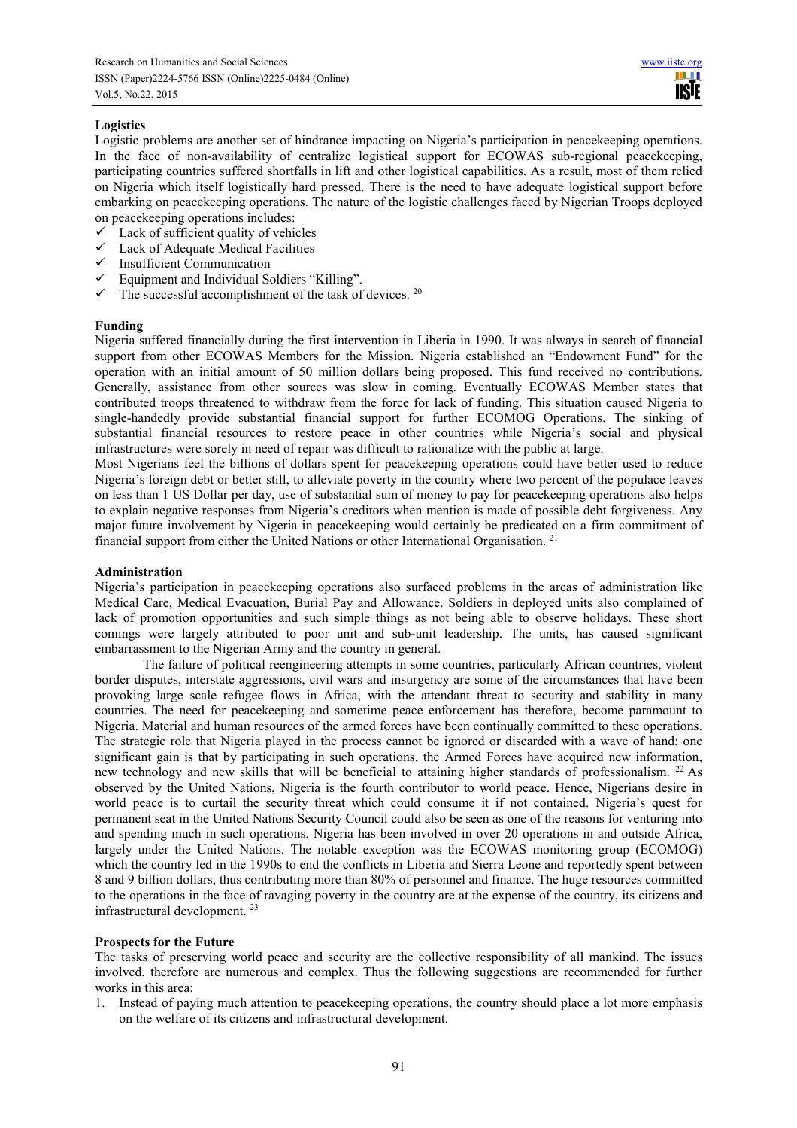## **Logistics**

Logistic problems are another set of hindrance impacting on Nigeria's participation in peacekeeping operations. In the face of non-availability of centralize logistical support for ECOWAS sub-regional peacekeeping, participating countries suffered shortfalls in lift and other logistical capabilities. As a result, most of them relied on Nigeria which itself logistically hard pressed. There is the need to have adequate logistical support before embarking on peacekeeping operations. The nature of the logistic challenges faced by Nigerian Troops deployed on peacekeeping operations includes:

- $\checkmark$  Lack of sufficient quality of vehicles
- Lack of Adequate Medical Facilities
- $\checkmark$  Insufficient Communication
- Equipment and Individual Soldiers "Killing".
- $\checkmark$  The successful accomplishment of the task of devices. <sup>20</sup>

#### **Funding**

Nigeria suffered financially during the first intervention in Liberia in 1990. It was always in search of financial support from other ECOWAS Members for the Mission. Nigeria established an "Endowment Fund" for the operation with an initial amount of 50 million dollars being proposed. This fund received no contributions. Generally, assistance from other sources was slow in coming. Eventually ECOWAS Member states that contributed troops threatened to withdraw from the force for lack of funding. This situation caused Nigeria to single-handedly provide substantial financial support for further ECOMOG Operations. The sinking of substantial financial resources to restore peace in other countries while Nigeria's social and physical infrastructures were sorely in need of repair was difficult to rationalize with the public at large.

Most Nigerians feel the billions of dollars spent for peacekeeping operations could have better used to reduce Nigeria's foreign debt or better still, to alleviate poverty in the country where two percent of the populace leaves on less than 1 US Dollar per day, use of substantial sum of money to pay for peacekeeping operations also helps to explain negative responses from Nigeria's creditors when mention is made of possible debt forgiveness. Any major future involvement by Nigeria in peacekeeping would certainly be predicated on a firm commitment of financial support from either the United Nations or other International Organisation.<sup>21</sup>

## **Administration**

Nigeria's participation in peacekeeping operations also surfaced problems in the areas of administration like Medical Care, Medical Evacuation, Burial Pay and Allowance. Soldiers in deployed units also complained of lack of promotion opportunities and such simple things as not being able to observe holidays. These short comings were largely attributed to poor unit and sub-unit leadership. The units, has caused significant embarrassment to the Nigerian Army and the country in general.

The failure of political reengineering attempts in some countries, particularly African countries, violent border disputes, interstate aggressions, civil wars and insurgency are some of the circumstances that have been provoking large scale refugee flows in Africa, with the attendant threat to security and stability in many countries. The need for peacekeeping and sometime peace enforcement has therefore, become paramount to Nigeria. Material and human resources of the armed forces have been continually committed to these operations. The strategic role that Nigeria played in the process cannot be ignored or discarded with a wave of hand; one significant gain is that by participating in such operations, the Armed Forces have acquired new information, new technology and new skills that will be beneficial to attaining higher standards of professionalism. <sup>22</sup> As observed by the United Nations, Nigeria is the fourth contributor to world peace. Hence, Nigerians desire in world peace is to curtail the security threat which could consume it if not contained. Nigeria's quest for permanent seat in the United Nations Security Council could also be seen as one of the reasons for venturing into and spending much in such operations. Nigeria has been involved in over 20 operations in and outside Africa, largely under the United Nations. The notable exception was the ECOWAS monitoring group (ECOMOG) which the country led in the 1990s to end the conflicts in Liberia and Sierra Leone and reportedly spent between 8 and 9 billion dollars, thus contributing more than 80% of personnel and finance. The huge resources committed to the operations in the face of ravaging poverty in the country are at the expense of the country, its citizens and infrastructural development.<sup>23</sup>

#### **Prospects for the Future**

The tasks of preserving world peace and security are the collective responsibility of all mankind. The issues involved, therefore are numerous and complex. Thus the following suggestions are recommended for further works in this area:

1. Instead of paying much attention to peacekeeping operations, the country should place a lot more emphasis on the welfare of its citizens and infrastructural development.